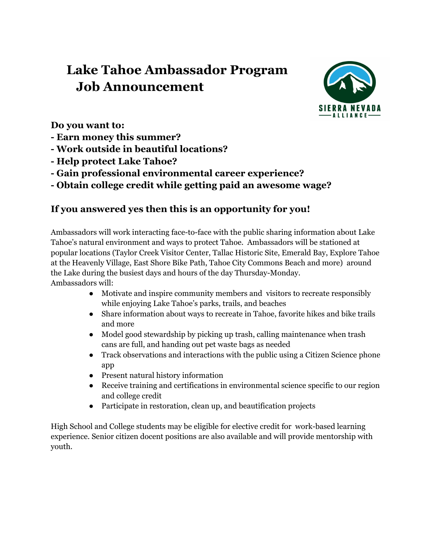# **Lake Tahoe Ambassador Program Job Announcement**



**Do you want to:**

- **- Earn money this summer?**
- **- Work outside in beautiful locations?**
- **- Help protect Lake Tahoe?**
- **- Gain professional environmental career experience?**

**- Obtain college credit while getting paid an awesome wage?**

## **If you answered yes then this is an opportunity for you!**

Ambassadors will work interacting face-to-face with the public sharing information about Lake Tahoe's natural environment and ways to protect Tahoe. Ambassadors will be stationed at popular locations (Taylor Creek Visitor Center, Tallac Historic Site, Emerald Bay, Explore Tahoe at the Heavenly Village, East Shore Bike Path, Tahoe City Commons Beach and more) around the Lake during the busiest days and hours of the day Thursday-Monday. Ambassadors will:

- Motivate and inspire community members and visitors to recreate responsibly while enjoying Lake Tahoe's parks, trails, and beaches
- Share information about ways to recreate in Tahoe, favorite hikes and bike trails and more
- Model good stewardship by picking up trash, calling maintenance when trash cans are full, and handing out pet waste bags as needed
- Track observations and interactions with the public using a Citizen Science phone app
- Present natural history information
- Receive training and certifications in environmental science specific to our region and college credit
- Participate in restoration, clean up, and beautification projects

High School and College students may be eligible for elective credit for work-based learning experience. Senior citizen docent positions are also available and will provide mentorship with youth.